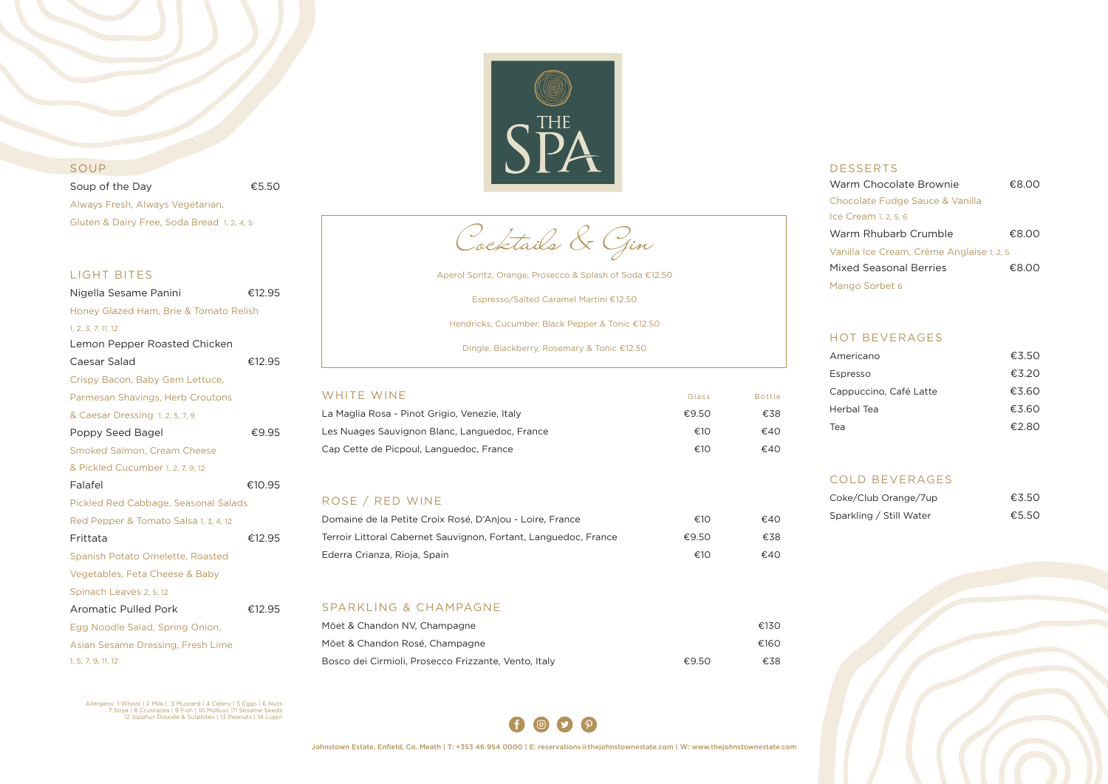

## SOUP

Soup of the Day 65.50 Always Fresh, Always Vegetarian, Gluten & Dairy Free, Soda Bread 1, 2, 4, 5

#### LIGHT BITES

| Nigella Sesame Panini                  | €12.95 |
|----------------------------------------|--------|
| Honey Glazed Ham, Brie & Tomato Relish |        |
| 1, 2, 3, 7, 11, 12                     |        |
| Lemon Pepper Roasted Chicken           |        |
| Caesar Salad                           | €12.95 |
| Crispy Bacon, Baby Gem Lettuce,        |        |
| Parmesan Shavings, Herb Croutons       |        |
| & Caesar Dressing 1, 2, 5, 7, 9        |        |
| Poppy Seed Bagel                       | €9.95  |
| <b>Smoked Salmon, Cream Cheese</b>     |        |
| & Pickled Cucumber 1, 2, 7, 9, 12      |        |
| Falafel                                | €10.95 |
| Pickled Red Cabbage, Seasonal Salads   |        |
| Red Pepper & Tomato Salsa 1, 3, 4, 12  |        |
| Frittata                               | €12.95 |
| Spanish Potato Omelette, Roasted       |        |
| Vegetables, Feta Cheese & Baby         |        |
| Spinach Leaves 2, 5, 12                |        |
| <b>Aromatic Pulled Pork</b>            | €12.95 |
| Egg Noodle Salad, Spring Onion,        |        |
| Asian Sesame Dressing, Fresh Lime      |        |
| 1, 5, 7, 9, 11, 12                     |        |

Allergens: 1 Wheat | 2 Milk | 3 Mustard | 4 Celery | 5 Eggs | 6 Nuts<br>7 Soya | 8 Crustacea | 9 Fish | 10 Mollusc |11 Sesame Seeds<br>12 Sulphur Dioxide & Sulphites | 13 Peanuts | 14 Lupin

| WHITE WINE                                    | Glass | <b>Bottle</b> |
|-----------------------------------------------|-------|---------------|
| La Maglia Rosa - Pinot Grigio, Venezie, Italy | €9.50 | €38           |
| Les Nuages Sauvignon Blanc, Languedoc, France | €10   | €40           |
| Cap Cette de Picpoul, Languedoc, France       | €10   | €40           |

## ROSE / RED WINE

| Domaine de la Petite Croix Rosé, D'Anjou - Loire, France        | €10   | €40 |
|-----------------------------------------------------------------|-------|-----|
| Terroir Littoral Cabernet Sauvignon, Fortant, Languedoc, France | €9.50 | €38 |
| Ederra Crianza, Rioja, Spain                                    | €10   | €40 |

#### SPARKLING & CHAMPAGNE

| Möet & Chandon NV, Champagne                         |       | €130 |
|------------------------------------------------------|-------|------|
| Möet & Chandon Rosé, Champagne                       |       | €160 |
| Bosco dei Cirmioli, Prosecco Frizzante, Vento, Italy | €9.50 | €38  |



| <b>DESSERTS</b>                           |       |
|-------------------------------------------|-------|
| Warm Chocolate Brownie                    | €8.00 |
| Chocolate Fudge Sauce & Vanilla           |       |
| Ice Cream 1, 2, 5, 6                      |       |
| Warm Rhubarb Crumble                      | €8.00 |
| Vanilla Ice Cream, Crème Anglaise 1, 2, 5 |       |
| Mixed Seasonal Berries                    | €8.00 |
| Mango Sorbet 6                            |       |

## HOT BEVERAGES

| Americano              | €3.50 |
|------------------------|-------|
| Espresso               | €3.20 |
| Cappuccino, Café Latte | €3.60 |
| Herbal Tea             | €3.60 |
| Tea                    | €2.80 |

# COLD BEVERAGES

| Coke/Club Orange/7up    | €3.50 |
|-------------------------|-------|
| Sparkling / Still Water | €5.50 |





Aperol Spritz, Orange, Prosecco & Splash of Soda €12.50

Espresso/Salted Caramel Martini €12.50

Hendricks, Cucumber, Black Pepper & Tonic €12.50

Dingle, Blackberry, Rosemary & Tonic €12.50